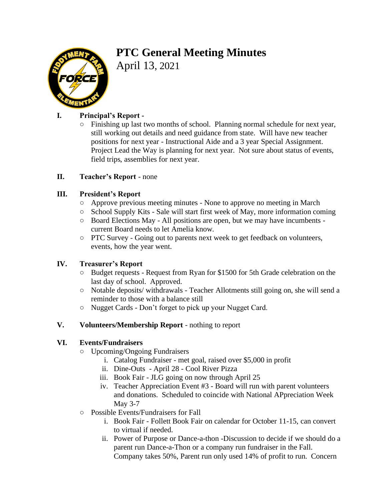# **PTC General Meeting Minutes**



April 13, 2021

# **I. Principal's Report -**

○ Finishing up last two months of school. Planning normal schedule for next year, still working out details and need guidance from state. Will have new teacher positions for next year - Instructional Aide and a 3 year Special Assignment. Project Lead the Way is planning for next year. Not sure about status of events, field trips, assemblies for next year.

# **II. Teacher's Report** - none

# **III. President's Report**

- Approve previous meeting minutes None to approve no meeting in March
- School Supply Kits Sale will start first week of May, more information coming
- Board Elections May All positions are open, but we may have incumbents current Board needs to let Amelia know.
- PTC Survey Going out to parents next week to get feedback on volunteers, events, how the year went.

#### **IV. Treasurer's Report**

- Budget requests Request from Ryan for \$1500 for 5th Grade celebration on the last day of school. Approved.
- Notable deposits/ withdrawals Teacher Allotments still going on, she will send a reminder to those with a balance still
- Nugget Cards Don't forget to pick up your Nugget Card.

#### **V. Volunteers/Membership Report** - nothing to report

#### **VI. Events/Fundraisers**

- Upcoming/Ongoing Fundraisers
	- i. Catalog Fundraiser met goal, raised over \$5,000 in profit
	- ii. Dine-Outs April 28 Cool River Pizza
	- iii. Book Fair JLG going on now through April 25
	- iv. Teacher Appreciation Event #3 Board will run with parent volunteers and donations. Scheduled to coincide with National APpreciation Week May 3-7
- Possible Events/Fundraisers for Fall
	- i. Book Fair Follett Book Fair on calendar for October 11-15, can convert to virtual if needed.
	- ii. Power of Purpose or Dance-a-thon -Discussion to decide if we should do a parent run Dance-a-Thon or a company run fundraiser in the Fall. Company takes 50%, Parent run only used 14% of profit to run. Concern